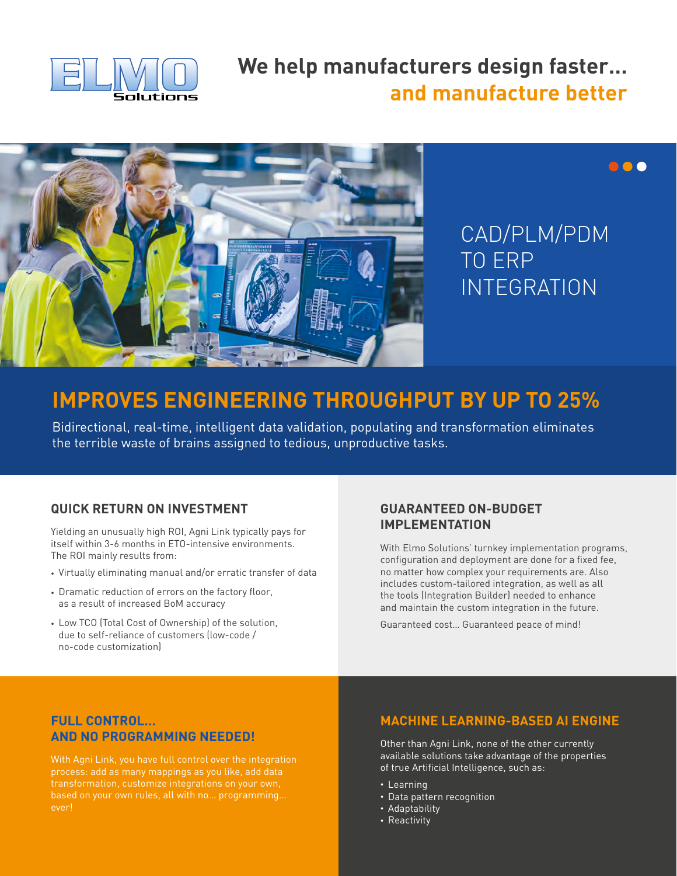

## **We help manufacturers design faster… and manufacture better**



# CAD/PLM/PDM TO ERP INTEGRATION

000

## **IMPROVES ENGINEERING THROUGHPUT BY UP TO 25%**

Bidirectional, real-time, intelligent data validation, populating and transformation eliminates the terrible waste of brains assigned to tedious, unproductive tasks.

#### **QUICK RETURN ON INVESTMENT**

Yielding an unusually high ROI, Agni Link typically pays for itself within 3-6 months in ETO-intensive environments. The ROI mainly results from:

- Virtually eliminating manual and/or erratic transfer of data
- Dramatic reduction of errors on the factory floor, as a result of increased BoM accuracy
- Low TCO (Total Cost of Ownership) of the solution, due to self-reliance of customers (low-code / no-code customization)

#### **GUARANTEED ON-BUDGET IMPLEMENTATION**

With Elmo Solutions' turnkey implementation programs, configuration and deployment are done for a fixed fee, no matter how complex your requirements are. Also includes custom-tailored integration, as well as all the tools (Integration Builder) needed to enhance and maintain the custom integration in the future.

Guaranteed cost… Guaranteed peace of mind!

#### **FULL CONTROL… AND NO PROGRAMMING NEEDED!**

With Agni Link, you have full control over the integration process: add as many mappings as you like, add data transformation, customize integrations on your own, based on your own rules, all with no… programming… ever!

#### **MACHINE LEARNING-BASED AI ENGINE**

Other than Agni Link, none of the other currently available solutions take advantage of the properties of true Artificial Intelligence, such as:

- Learning
- Data pattern recognition
- Adaptability
- Reactivity